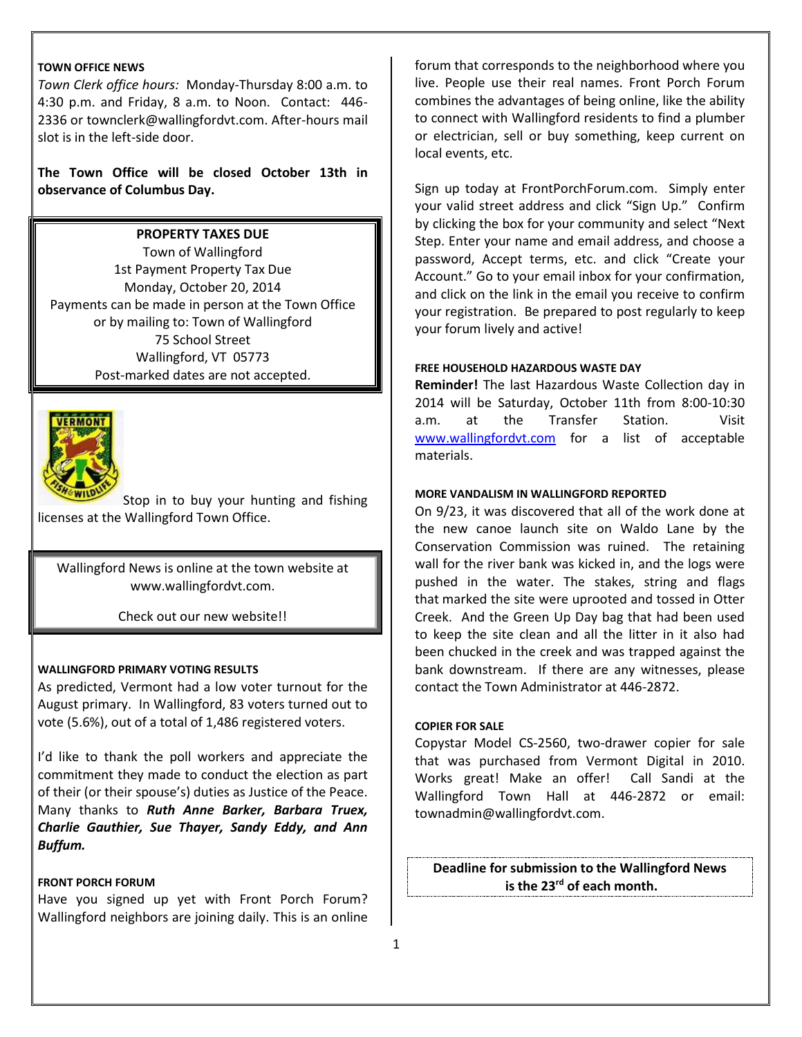## **TOWN OFFICE NEWS**

*Town Clerk office hours:* Monday-Thursday 8:00 a.m. to 4:30 p.m. and Friday, 8 a.m. to Noon. Contact: 446- 2336 or townclerk@wallingfordvt.com. After-hours mail slot is in the left-side door.

**The Town Office will be closed October 13th in observance of Columbus Day.** 

# **PROPERTY TAXES DUE**

Town of Wallingford 1st Payment Property Tax Due Monday, October 20, 2014 Payments can be made in person at the Town Office or by mailing to: Town of Wallingford 75 School Street Wallingford, VT 05773 Post-marked dates are not accepted.



Stop in to buy your hunting and fishing licenses at the Wallingford Town Office.

Wallingford News is online at the town website at www.wallingfordvt.com.

Check out our new website!!

## **WALLINGFORD PRIMARY VOTING RESULTS**

As predicted, Vermont had a low voter turnout for the August primary. In Wallingford, 83 voters turned out to vote (5.6%), out of a total of 1,486 registered voters.

I'd like to thank the poll workers and appreciate the commitment they made to conduct the election as part of their (or their spouse's) duties as Justice of the Peace. Many thanks to *Ruth Anne Barker, Barbara Truex, Charlie Gauthier, Sue Thayer, Sandy Eddy, and Ann Buffum.*

#### **FRONT PORCH FORUM**

Have you signed up yet with Front Porch Forum? Wallingford neighbors are joining daily. This is an online forum that corresponds to the neighborhood where you live. People use their real names. Front Porch Forum combines the advantages of being online, like the ability to connect with Wallingford residents to find a plumber or electrician, sell or buy something, keep current on local events, etc.

Sign up today at FrontPorchForum.com. Simply enter your valid street address and click "Sign Up." Confirm by clicking the box for your community and select "Next Step. Enter your name and email address, and choose a password, Accept terms, etc. and click "Create your Account." Go to your email inbox for your confirmation, and click on the link in the email you receive to confirm your registration. Be prepared to post regularly to keep your forum lively and active!

## **FREE HOUSEHOLD HAZARDOUS WASTE DAY**

**Reminder!** The last Hazardous Waste Collection day in 2014 will be Saturday, October 11th from 8:00-10:30 a.m. at the Transfer Station. Visit [www.wallingfordvt.com](http://www.wallingfordvt.com/) for a list of acceptable materials.

#### **MORE VANDALISM IN WALLINGFORD REPORTED**

On 9/23, it was discovered that all of the work done at the new canoe launch site on Waldo Lane by the Conservation Commission was ruined. The retaining wall for the river bank was kicked in, and the logs were pushed in the water. The stakes, string and flags that marked the site were uprooted and tossed in Otter Creek. And the Green Up Day bag that had been used to keep the site clean and all the litter in it also had been chucked in the creek and was trapped against the bank downstream. If there are any witnesses, please contact the Town Administrator at 446-2872.

#### **COPIER FOR SALE**

Copystar Model CS-2560, two-drawer copier for sale that was purchased from Vermont Digital in 2010. Works great! Make an offer! Call Sandi at the Wallingford Town Hall at 446-2872 or email: townadmin@wallingfordvt.com.

**Deadline for submission to the Wallingford News is the 23rd of each month.**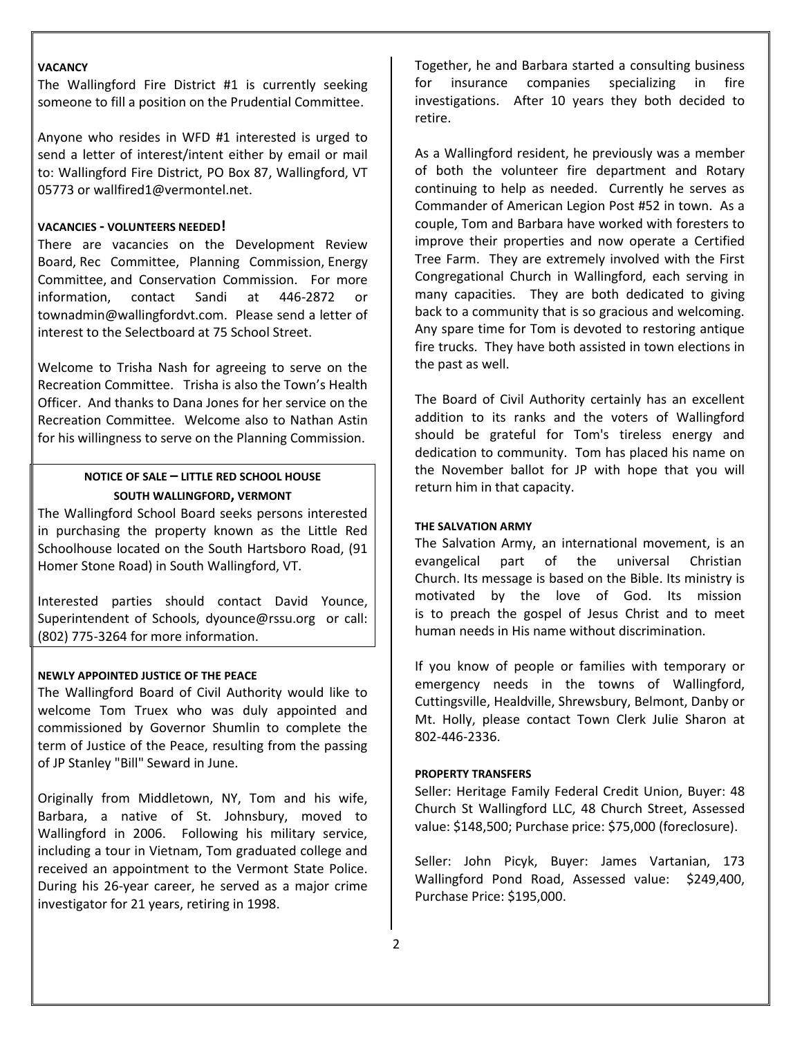#### **VACANCY**

The Wallingford Fire District #1 is currently seeking someone to fill a position on the Prudential Committee.

Anyone who resides in WFD #1 interested is urged to send a letter of interest/intent either by email or mail to: Wallingford Fire District, PO Box 87, Wallingford, VT 05773 or [wallfired1@vermontel.net.](mailto:WALLFIRED1@VERMONTEL.NET)

#### **VACANCIES - VOLUNTEERS NEEDED!**

There are vacancies on the Development Review Board, Rec Committee, Planning Commission, Energy Committee, and Conservation Commission. For more information, contact Sandi at 446-2872 or townadmin@wallingfordvt.com. Please send a letter of interest to the Selectboard at 75 School Street.

Welcome to Trisha Nash for agreeing to serve on the Recreation Committee. Trisha is also the Town's Health Officer. And thanks to Dana Jones for her service on the Recreation Committee. Welcome also to Nathan Astin for his willingness to serve on the Planning Commission.

# **NOTICE OF SALE – LITTLE RED SCHOOL HOUSE SOUTH WALLINGFORD, VERMONT**

The Wallingford School Board seeks persons interested in purchasing the property known as the Little Red Schoolhouse located on the South Hartsboro Road, (91 Homer Stone Road) in South Wallingford, VT.

Interested parties should contact David Younce, Superintendent of Schools, [dyounce@rssu.org](mailto:dcole@rssu.org) or call: (802) 775-3264 for more information.

## **NEWLY APPOINTED JUSTICE OF THE PEACE**

The Wallingford Board of Civil Authority would like to welcome Tom Truex who was duly appointed and commissioned by Governor Shumlin to complete the term of Justice of the Peace, resulting from the passing of JP Stanley "Bill" Seward in June.

Originally from Middletown, NY, Tom and his wife, Barbara, a native of St. Johnsbury, moved to Wallingford in 2006. Following his military service, including a tour in Vietnam, Tom graduated college and received an appointment to the Vermont State Police. During his 26-year career, he served as a major crime investigator for 21 years, retiring in 1998.

Together, he and Barbara started a consulting business for insurance companies specializing in fire investigations. After 10 years they both decided to retire.

As a Wallingford resident, he previously was a member of both the volunteer fire department and Rotary continuing to help as needed. Currently he serves as Commander of American Legion Post #52 in town. As a couple, Tom and Barbara have worked with foresters to improve their properties and now operate a Certified Tree Farm. They are extremely involved with the First Congregational Church in Wallingford, each serving in many capacities. They are both dedicated to giving back to a community that is so gracious and welcoming. Any spare time for Tom is devoted to restoring antique fire trucks. They have both assisted in town elections in the past as well.

The Board of Civil Authority certainly has an excellent addition to its ranks and the voters of Wallingford should be grateful for Tom's tireless energy and dedication to community. Tom has placed his name on the November ballot for JP with hope that you will return him in that capacity.

## **THE SALVATION ARMY**

The Salvation Army, an international movement, is an evangelical part of the universal Christian Church. Its message is based on the Bible. Its ministry is motivated by the love of God. Its mission is to preach the gospel of Jesus Christ and to meet human needs in His name without discrimination.

If you know of people or families with temporary or emergency needs in the towns of Wallingford, Cuttingsville, Healdville, Shrewsbury, Belmont, Danby or Mt. Holly, please contact Town Clerk Julie Sharon at 802-446-2336.

#### **PROPERTY TRANSFERS**

Seller: Heritage Family Federal Credit Union, Buyer: 48 Church St Wallingford LLC, 48 Church Street, Assessed value: \$148,500; Purchase price: \$75,000 (foreclosure).

Seller: John Picyk, Buyer: James Vartanian, 173 Wallingford Pond Road, Assessed value: \$249,400, Purchase Price: \$195,000.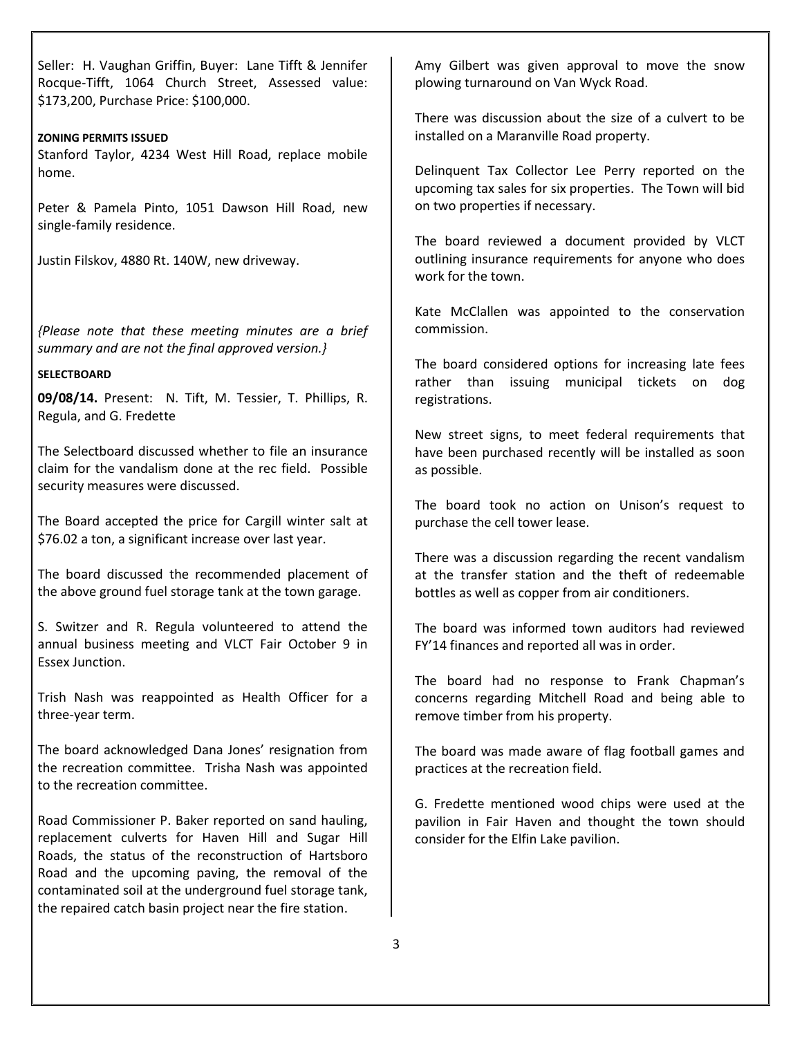Seller: H. Vaughan Griffin, Buyer: Lane Tifft & Jennifer Rocque-Tifft, 1064 Church Street, Assessed value: \$173,200, Purchase Price: \$100,000.

### **ZONING PERMITS ISSUED**

Stanford Taylor, 4234 West Hill Road, replace mobile home.

Peter & Pamela Pinto, 1051 Dawson Hill Road, new single-family residence.

Justin Filskov, 4880 Rt. 140W, new driveway.

*{Please note that these meeting minutes are a brief summary and are not the final approved version.}* 

## **SELECTBOARD**

**09/08/14.** Present: N. Tift, M. Tessier, T. Phillips, R. Regula, and G. Fredette

The Selectboard discussed whether to file an insurance claim for the vandalism done at the rec field. Possible security measures were discussed.

The Board accepted the price for Cargill winter salt at \$76.02 a ton, a significant increase over last year.

The board discussed the recommended placement of the above ground fuel storage tank at the town garage.

S. Switzer and R. Regula volunteered to attend the annual business meeting and VLCT Fair October 9 in Essex Junction.

Trish Nash was reappointed as Health Officer for a three-year term.

The board acknowledged Dana Jones' resignation from the recreation committee. Trisha Nash was appointed to the recreation committee.

Road Commissioner P. Baker reported on sand hauling, replacement culverts for Haven Hill and Sugar Hill Roads, the status of the reconstruction of Hartsboro Road and the upcoming paving, the removal of the contaminated soil at the underground fuel storage tank, the repaired catch basin project near the fire station.

Amy Gilbert was given approval to move the snow plowing turnaround on Van Wyck Road.

There was discussion about the size of a culvert to be installed on a Maranville Road property.

Delinquent Tax Collector Lee Perry reported on the upcoming tax sales for six properties. The Town will bid on two properties if necessary.

The board reviewed a document provided by VLCT outlining insurance requirements for anyone who does work for the town.

Kate McClallen was appointed to the conservation commission.

The board considered options for increasing late fees rather than issuing municipal tickets on dog registrations.

New street signs, to meet federal requirements that have been purchased recently will be installed as soon as possible.

The board took no action on Unison's request to purchase the cell tower lease.

There was a discussion regarding the recent vandalism at the transfer station and the theft of redeemable bottles as well as copper from air conditioners.

The board was informed town auditors had reviewed FY'14 finances and reported all was in order.

The board had no response to Frank Chapman's concerns regarding Mitchell Road and being able to remove timber from his property.

The board was made aware of flag football games and practices at the recreation field.

G. Fredette mentioned wood chips were used at the pavilion in Fair Haven and thought the town should consider for the Elfin Lake pavilion.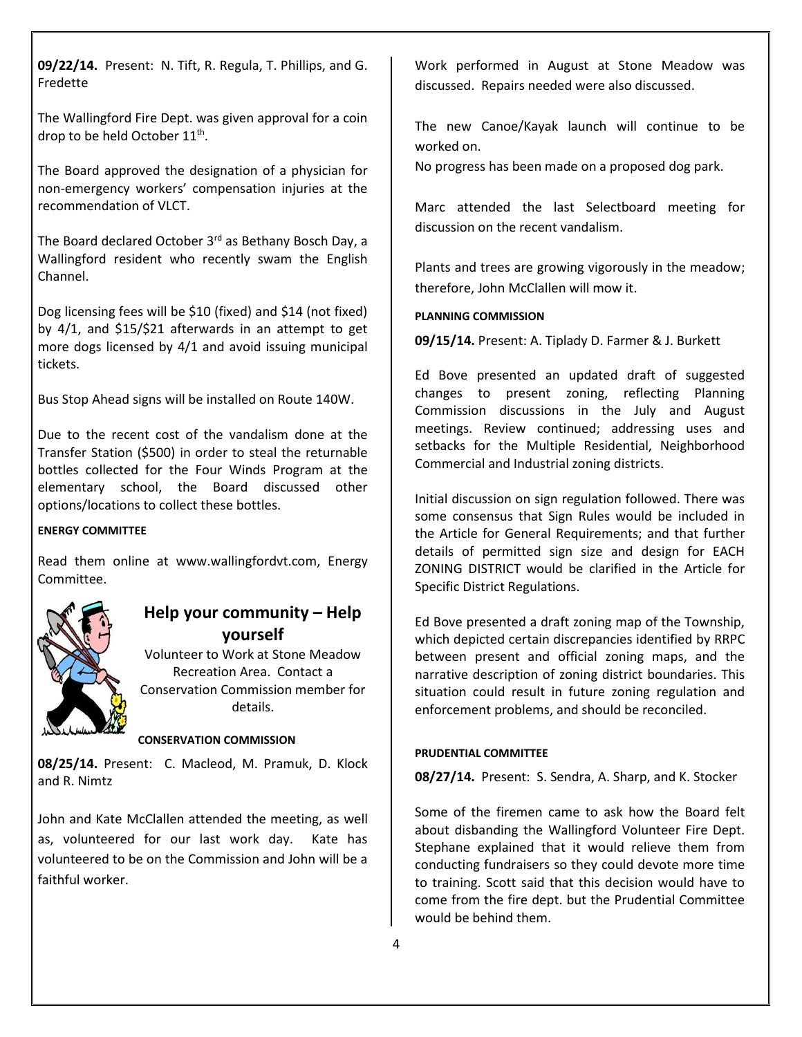**09/22/14.** Present: N. Tift, R. Regula, T. Phillips, and G. Fredette

The Wallingford Fire Dept. was given approval for a coin drop to be held October 11<sup>th</sup>.

The Board approved the designation of a physician for non-emergency workers' compensation injuries at the recommendation of VLCT.

The Board declared October 3rd as Bethany Bosch Day, a Wallingford resident who recently swam the English Channel.

Dog licensing fees will be \$10 (fixed) and \$14 (not fixed) by 4/1, and \$15/\$21 afterwards in an attempt to get more dogs licensed by 4/1 and avoid issuing municipal tickets.

Bus Stop Ahead signs will be installed on Route 140W.

Due to the recent cost of the vandalism done at the Transfer Station (\$500) in order to steal the returnable bottles collected for the Four Winds Program at the elementary school, the Board discussed other options/locations to collect these bottles.

#### **ENERGY COMMITTEE**

Read them online at [www.wallingfordvt.com,](http://www.wallingfordvt.com/) Energy Committee.



# **Help your community – Help yourself**

Volunteer to Work at Stone Meadow Recreation Area. Contact a Conservation Commission member for details.

#### **CONSERVATION COMMISSION**

**08/25/14.** Present: C. Macleod, M. Pramuk, D. Klock and R. Nimtz

John and Kate McClallen attended the meeting, as well as, volunteered for our last work day. Kate has volunteered to be on the Commission and John will be a faithful worker.

Work performed in August at Stone Meadow was discussed. Repairs needed were also discussed.

The new Canoe/Kayak launch will continue to be worked on.

No progress has been made on a proposed dog park.

Marc attended the last Selectboard meeting for discussion on the recent vandalism.

Plants and trees are growing vigorously in the meadow; therefore, John McClallen will mow it.

#### **PLANNING COMMISSION**

**09/15/14.** Present: A. Tiplady D. Farmer & J. Burkett

Ed Bove presented an updated draft of suggested changes to present zoning, reflecting Planning Commission discussions in the July and August meetings. Review continued; addressing uses and setbacks for the Multiple Residential, Neighborhood Commercial and Industrial zoning districts.

Initial discussion on sign regulation followed. There was some consensus that Sign Rules would be included in the Article for General Requirements; and that further details of permitted sign size and design for EACH ZONING DISTRICT would be clarified in the Article for Specific District Regulations.

Ed Bove presented a draft zoning map of the Township, which depicted certain discrepancies identified by RRPC between present and official zoning maps, and the narrative description of zoning district boundaries. This situation could result in future zoning regulation and enforcement problems, and should be reconciled.

#### **PRUDENTIAL COMMITTEE**

**08/27/14.** Present: S. Sendra, A. Sharp, and K. Stocker

Some of the firemen came to ask how the Board felt about disbanding the Wallingford Volunteer Fire Dept. Stephane explained that it would relieve them from conducting fundraisers so they could devote more time to training. Scott said that this decision would have to come from the fire dept. but the Prudential Committee would be behind them.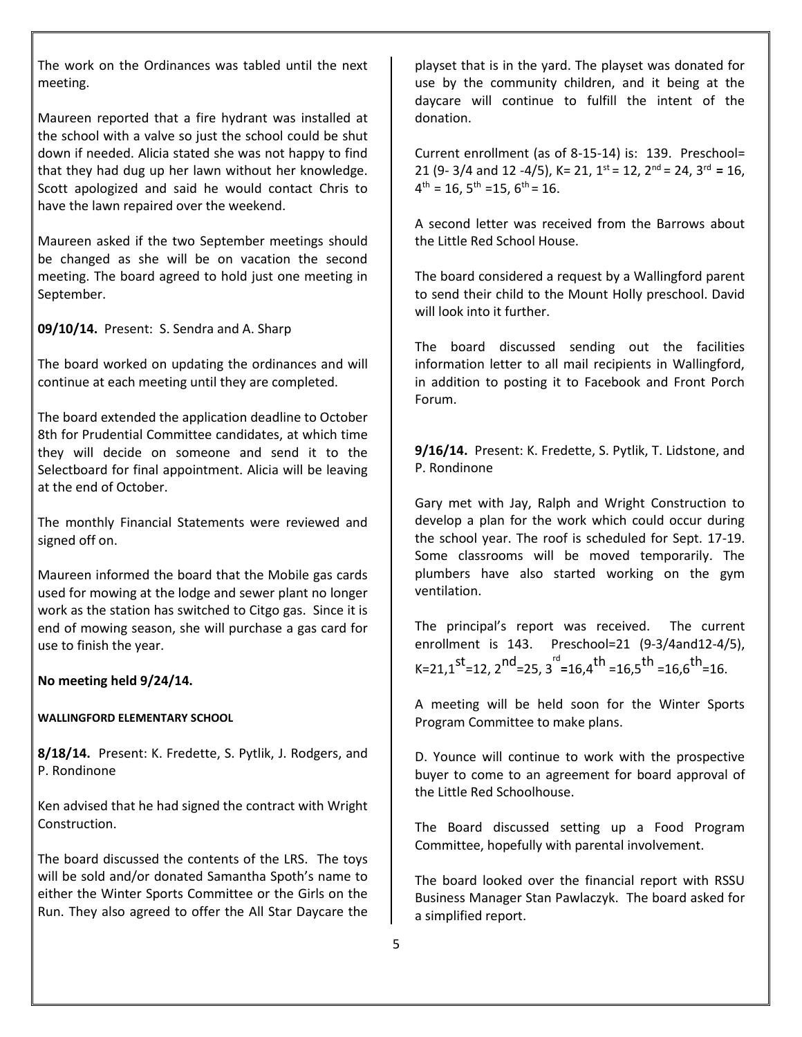The work on the Ordinances was tabled until the next meeting.

Maureen reported that a fire hydrant was installed at the school with a valve so just the school could be shut down if needed. Alicia stated she was not happy to find that they had dug up her lawn without her knowledge. Scott apologized and said he would contact Chris to have the lawn repaired over the weekend.

Maureen asked if the two September meetings should be changed as she will be on vacation the second meeting. The board agreed to hold just one meeting in September.

**09/10/14.** Present: S. Sendra and A. Sharp

The board worked on updating the ordinances and will continue at each meeting until they are completed.

The board extended the application deadline to October 8th for Prudential Committee candidates, at which time they will decide on someone and send it to the Selectboard for final appointment. Alicia will be leaving at the end of October.

The monthly Financial Statements were reviewed and signed off on.

Maureen informed the board that the Mobile gas cards used for mowing at the lodge and sewer plant no longer work as the station has switched to Citgo gas. Since it is end of mowing season, she will purchase a gas card for use to finish the year.

## **No meeting held 9/24/14.**

## **WALLINGFORD ELEMENTARY SCHOOL**

**8/18/14.** Present: K. Fredette, S. Pytlik, J. Rodgers, and P. Rondinone

Ken advised that he had signed the contract with Wright Construction.

The board discussed the contents of the LRS. The toys will be sold and/or donated Samantha Spoth's name to either the Winter Sports Committee or the Girls on the Run. They also agreed to offer the All Star Daycare the

playset that is in the yard. The playset was donated for use by the community children, and it being at the daycare will continue to fulfill the intent of the donation.

Current enrollment (as of 8-15-14) is: 139. Preschool= 21 (9- 3/4 and 12 -4/5), K= 21, 1st = 12, 2nd = 24, 3rd **=** 16,  $4^{\text{th}} = 16$ ,  $5^{\text{th}} = 15$ ,  $6^{\text{th}} = 16$ .

A second letter was received from the Barrows about the Little Red School House.

The board considered a request by a Wallingford parent to send their child to the Mount Holly preschool. David will look into it further.

The board discussed sending out the facilities information letter to all mail recipients in Wallingford, in addition to posting it to Facebook and Front Porch Forum.

**9/16/14.** Present: K. Fredette, S. Pytlik, T. Lidstone, and P. Rondinone

Gary met with Jay, Ralph and Wright Construction to develop a plan for the work which could occur during the school year. The roof is scheduled for Sept. 17-19. Some classrooms will be moved temporarily. The plumbers have also started working on the gym ventilation.

The principal's report was received. The current enrollment is 143. Preschool=21 (9-3/4and12-4/5), K=21,1st=12, 2nd=25, 3 rd **<sup>=</sup>**16,4th =16,5th =16,6th=16.

A meeting will be held soon for the Winter Sports Program Committee to make plans.

D. Younce will continue to work with the prospective buyer to come to an agreement for board approval of the Little Red Schoolhouse.

The Board discussed setting up a Food Program Committee, hopefully with parental involvement.

The board looked over the financial report with RSSU Business Manager Stan Pawlaczyk. The board asked for a simplified report.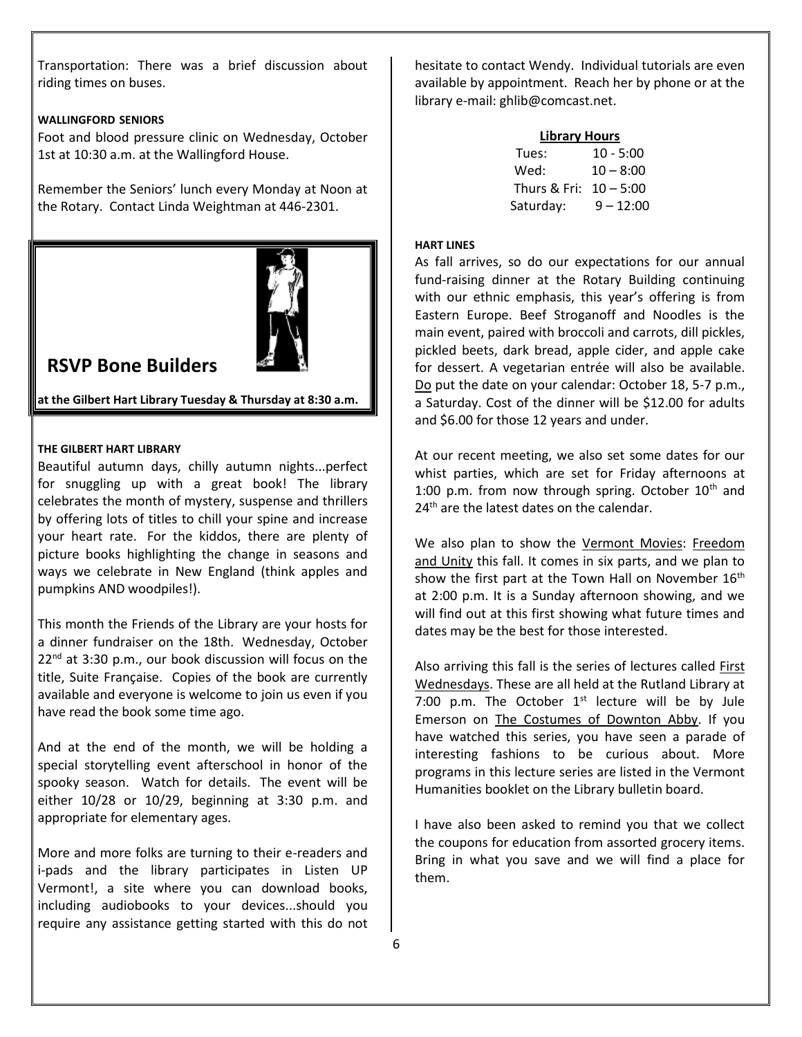Transportation: There was a brief discussion about riding times on buses.

### **WALLINGFORD SENIORS**

Foot and blood pressure clinic on Wednesday, October 1st at 10:30 a.m. at the Wallingford House.

Remember the Seniors' lunch every Monday at Noon at the Rotary. Contact Linda Weightman at 446-2301.



# **RSVP Bone Builders**

**at the Gilbert Hart Library Tuesday & Thursday at 8:30 a.m.** 

#### **THE GILBERT HART LIBRARY**

Beautiful autumn days, chilly autumn nights...perfect for snuggling up with a great book! The library celebrates the month of mystery, suspense and thrillers by offering lots of titles to chill your spine and increase your heart rate. For the kiddos, there are plenty of picture books highlighting the change in seasons and ways we celebrate in New England (think apples and pumpkins AND woodpiles!).

This month the Friends of the Library are your hosts for a dinner fundraiser on the 18th. Wednesday, October  $22<sup>nd</sup>$  at 3:30 p.m., our book discussion will focus on the title, Suite Française. Copies of the book are currently available and everyone is welcome to join us even if you have read the book some time ago.

And at the end of the month, we will be holding a special storytelling event afterschool in honor of the spooky season. Watch for details. The event will be either 10/28 or 10/29, beginning at 3:30 p.m. and appropriate for elementary ages.

More and more folks are turning to their e-readers and i-pads and the library participates in Listen UP Vermont!, a site where you can download books, including audiobooks to your devices...should you require any assistance getting started with this do not hesitate to contact Wendy. Individual tutorials are even available by appointment. Reach her by phone or at the library e-mail[: ghlib@comcast.net.](mailto:ghlib@comcast.net)

| <b>Library Hours</b> |             |
|----------------------|-------------|
| Tues:                | $10 - 5:00$ |
| Wed:                 | $10 - 8:00$ |
| Thurs & Fri:         | $10 - 5:00$ |
| Saturday:            | $9 - 12:00$ |

### **HART LINES**

As fall arrives, so do our expectations for our annual fund-raising dinner at the Rotary Building continuing with our ethnic emphasis, this year's offering is from Eastern Europe. Beef Stroganoff and Noodles is the main event, paired with broccoli and carrots, dill pickles, pickled beets, dark bread, apple cider, and apple cake for dessert. A vegetarian entrée will also be available. Do put the date on your calendar: October 18, 5-7 p.m., a Saturday. Cost of the dinner will be \$12.00 for adults and \$6.00 for those 12 years and under.

At our recent meeting, we also set some dates for our whist parties, which are set for Friday afternoons at 1:00 p.m. from now through spring. October  $10<sup>th</sup>$  and 24<sup>th</sup> are the latest dates on the calendar.

We also plan to show the Vermont Movies: Freedom and Unity this fall. It comes in six parts, and we plan to show the first part at the Town Hall on November  $16<sup>th</sup>$ at 2:00 p.m. It is a Sunday afternoon showing, and we will find out at this first showing what future times and dates may be the best for those interested.

Also arriving this fall is the series of lectures called First Wednesdays. These are all held at the Rutland Library at 7:00 p.m. The October  $1<sup>st</sup>$  lecture will be by Jule Emerson on The Costumes of Downton Abby. If you have watched this series, you have seen a parade of interesting fashions to be curious about. More programs in this lecture series are listed in the Vermont Humanities booklet on the Library bulletin board.

I have also been asked to remind you that we collect the coupons for education from assorted grocery items. Bring in what you save and we will find a place for them.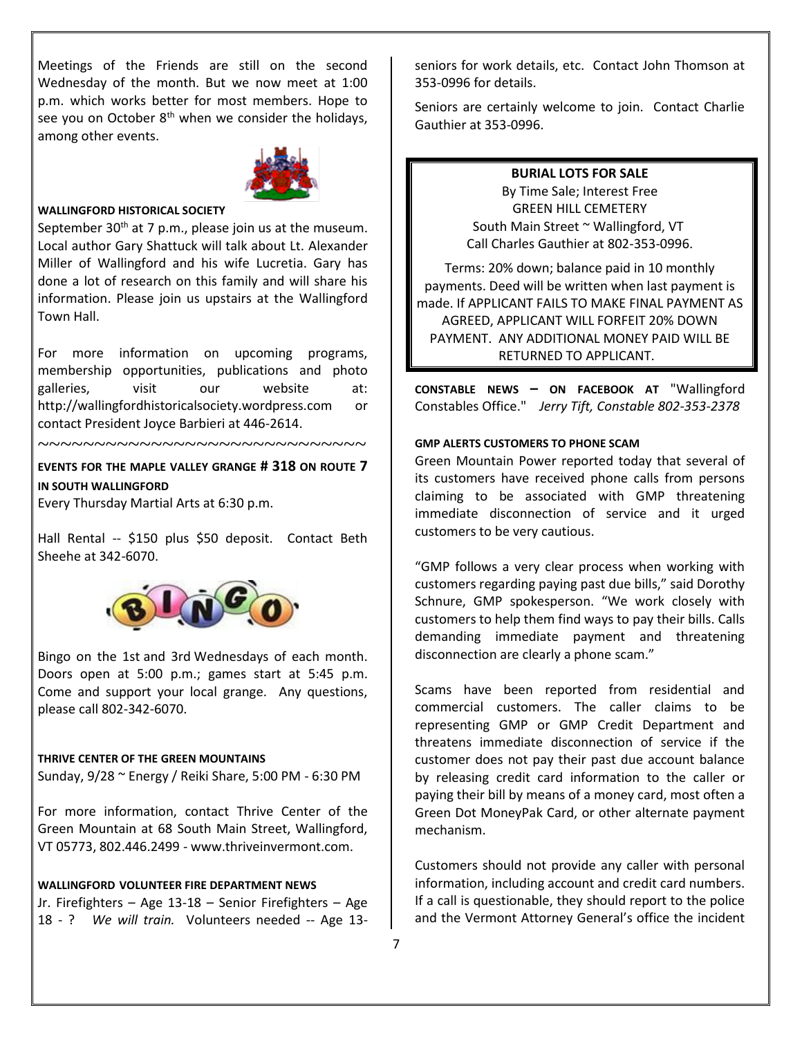Meetings of the Friends are still on the second Wednesday of the month. But we now meet at 1:00 p.m. which works better for most members. Hope to see you on October  $8<sup>th</sup>$  when we consider the holidays, among other events.



#### **WALLINGFORD HISTORICAL SOCIETY**

September  $30<sup>th</sup>$  at 7 p.m., please join us at the museum. Local author Gary Shattuck will talk about Lt. Alexander Miller of Wallingford and his wife Lucretia. Gary has done a lot of research on this family and will share his information. Please join us upstairs at the Wallingford Town Hall.

For more information on upcoming programs, membership opportunities, publications and photo galleries, visit our website at[:](http://wallingfordhistoricalsociety.wordpress.com/) [http://wallingfordhistoricalsociety.wordpress.com](http://wallingfordhistoricalsociety.wordpress.com/) or contact President Joyce Barbieri at 446-2614.

**EVENTS FOR THE MAPLE VALLEY GRANGE # 318 ON ROUTE 7 IN SOUTH WALLINGFORD**

~~~~~~~~~~~~~~~~~~~~~~~~~~~~~

Every Thursday Martial Arts at 6:30 p.m.

Hall Rental -- \$150 plus \$50 deposit. Contact Beth Sheehe at 342-6070.



Bingo on the 1st and 3rd Wednesdays of each month. Doors open at 5:00 p.m.; games start at 5:45 p.m. Come and support your local grange. Any questions, please call 802-342-6070.

#### **THRIVE CENTER OF THE GREEN MOUNTAINS**

Sunday, 9/28 ~ Energy / Reiki Share, 5:00 PM - 6:30 PM

For more information, contact Thrive Center of the Green Mountain at 68 South Main Street, Wallingford, VT 05773, 802.446.2499 - www.thriveinvermont.com.

#### **WALLINGFORD VOLUNTEER FIRE DEPARTMENT NEWS**

Jr. Firefighters – Age 13-18 – Senior Firefighters – Age 18 - ? *We will train.* Volunteers needed -- Age 13seniors for work details, etc. Contact John Thomson at 353-0996 for details.

Seniors are certainly welcome to join. Contact Charlie Gauthier at 353-0996.

**BURIAL LOTS FOR SALE**

By Time Sale; Interest Free GREEN HILL CEMETERY South Main Street ~ Wallingford, VT Call Charles Gauthier at 802-353-0996.

Terms: 20% down; balance paid in 10 monthly payments. Deed will be written when last payment is made. If APPLICANT FAILS TO MAKE FINAL PAYMENT AS AGREED, APPLICANT WILL FORFEIT 20% DOWN PAYMENT. ANY ADDITIONAL MONEY PAID WILL BE RETURNED TO APPLICANT.

**CONSTABLE NEWS – ON FACEBOOK AT** "Wallingford Constables Office." *Jerry Tift, Constable 802-353-2378*

#### **GMP ALERTS CUSTOMERS TO PHONE SCAM**

Green Mountain Power reported today that several of its customers have received phone calls from persons claiming to be associated with GMP threatening immediate disconnection of service and it urged customers to be very cautious.

"GMP follows a very clear process when working with customers regarding paying past due bills," said Dorothy Schnure, GMP spokesperson. "We work closely with customers to help them find ways to pay their bills. Calls demanding immediate payment and threatening disconnection are clearly a phone scam."

Scams have been reported from residential and commercial customers. The caller claims to be representing GMP or GMP Credit Department and threatens immediate disconnection of service if the customer does not pay their past due account balance by releasing credit card information to the caller or paying their bill by means of a money card, most often a Green Dot MoneyPak Card, or other alternate payment mechanism.

Customers should not provide any caller with personal information, including account and credit card numbers. If a call is questionable, they should report to the police and the Vermont Attorney General's office the incident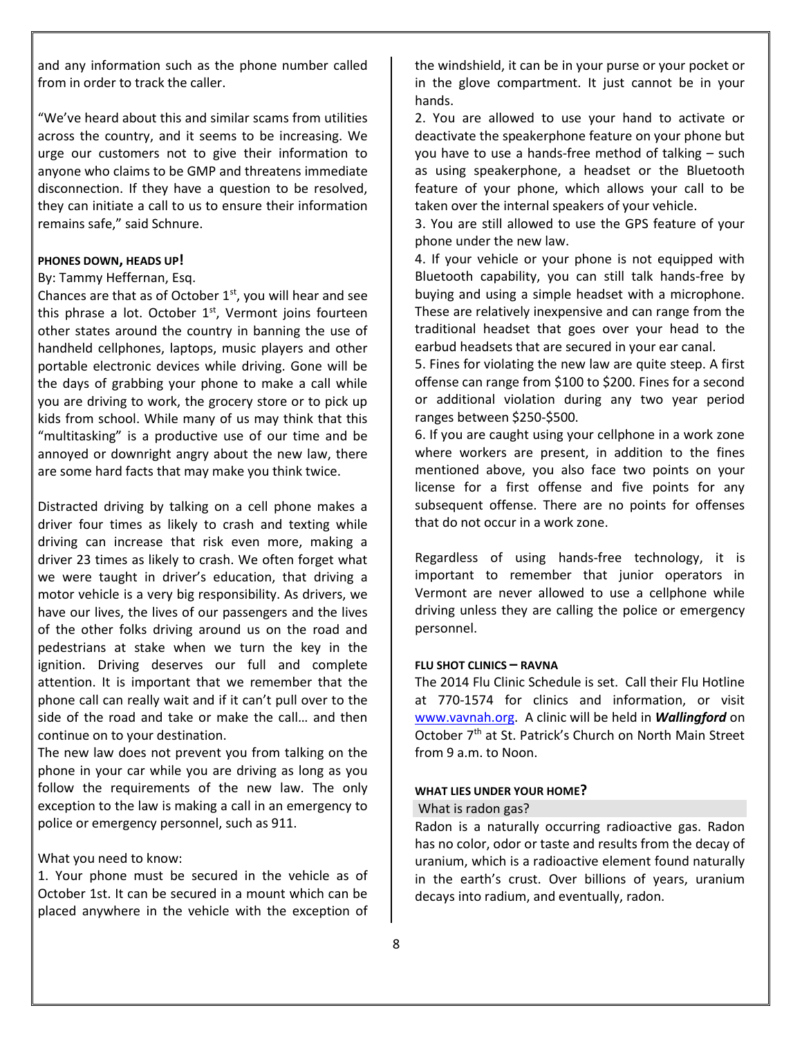and any information such as the phone number called from in order to track the caller.

"We've heard about this and similar scams from utilities across the country, and it seems to be increasing. We urge our customers not to give their information to anyone who claims to be GMP and threatens immediate disconnection. If they have a question to be resolved, they can initiate a call to us to ensure their information remains safe," said Schnure.

#### **PHONES DOWN, HEADS UP!**

#### By: Tammy Heffernan, Esq.

Chances are that as of October  $1<sup>st</sup>$ , you will hear and see this phrase a lot. October  $1<sup>st</sup>$ , Vermont joins fourteen other states around the country in banning the use of handheld cellphones, laptops, music players and other portable electronic devices while driving. Gone will be the days of grabbing your phone to make a call while you are driving to work, the grocery store or to pick up kids from school. While many of us may think that this "multitasking" is a productive use of our time and be annoyed or downright angry about the new law, there are some hard facts that may make you think twice.

Distracted driving by talking on a cell phone makes a driver four times as likely to crash and texting while driving can increase that risk even more, making a driver 23 times as likely to crash. We often forget what we were taught in driver's education, that driving a motor vehicle is a very big responsibility. As drivers, we have our lives, the lives of our passengers and the lives of the other folks driving around us on the road and pedestrians at stake when we turn the key in the ignition. Driving deserves our full and complete attention. It is important that we remember that the phone call can really wait and if it can't pull over to the side of the road and take or make the call… and then continue on to your destination.

The new law does not prevent you from talking on the phone in your car while you are driving as long as you follow the requirements of the new law. The only exception to the law is making a call in an emergency to police or emergency personnel, such as 911.

#### What you need to know:

1. Your phone must be secured in the vehicle as of October 1st. It can be secured in a mount which can be placed anywhere in the vehicle with the exception of the windshield, it can be in your purse or your pocket or in the glove compartment. It just cannot be in your hands.

2. You are allowed to use your hand to activate or deactivate the speakerphone feature on your phone but you have to use a hands-free method of talking – such as using speakerphone, a headset or the Bluetooth feature of your phone, which allows your call to be taken over the internal speakers of your vehicle.

3. You are still allowed to use the GPS feature of your phone under the new law.

4. If your vehicle or your phone is not equipped with Bluetooth capability, you can still talk hands-free by buying and using a simple headset with a microphone. These are relatively inexpensive and can range from the traditional headset that goes over your head to the earbud headsets that are secured in your ear canal.

5. Fines for violating the new law are quite steep. A first offense can range from \$100 to \$200. Fines for a second or additional violation during any two year period ranges between \$250-\$500.

6. If you are caught using your cellphone in a work zone where workers are present, in addition to the fines mentioned above, you also face two points on your license for a first offense and five points for any subsequent offense. There are no points for offenses that do not occur in a work zone.

Regardless of using hands-free technology, it is important to remember that junior operators in Vermont are never allowed to use a cellphone while driving unless they are calling the police or emergency personnel.

# **FLU SHOT CLINICS – RAVNA**

The 2014 Flu Clinic Schedule is set. Call their Flu Hotline at 770-1574 for clinics and information, or visit [www.vavnah.org.](http://www.vavnah.org/) A clinic will be held in *Wallingford* on October 7<sup>th</sup> at St. Patrick's Church on North Main Street from 9 a.m. to Noon.

## **WHAT LIES UNDER YOUR HOME?**

## What is radon gas?

Radon is a naturally occurring radioactive gas. Radon has no color, odor or taste and results from the decay of uranium, which is a radioactive element found naturally in the earth's crust. Over billions of years, uranium decays into radium, and eventually, radon.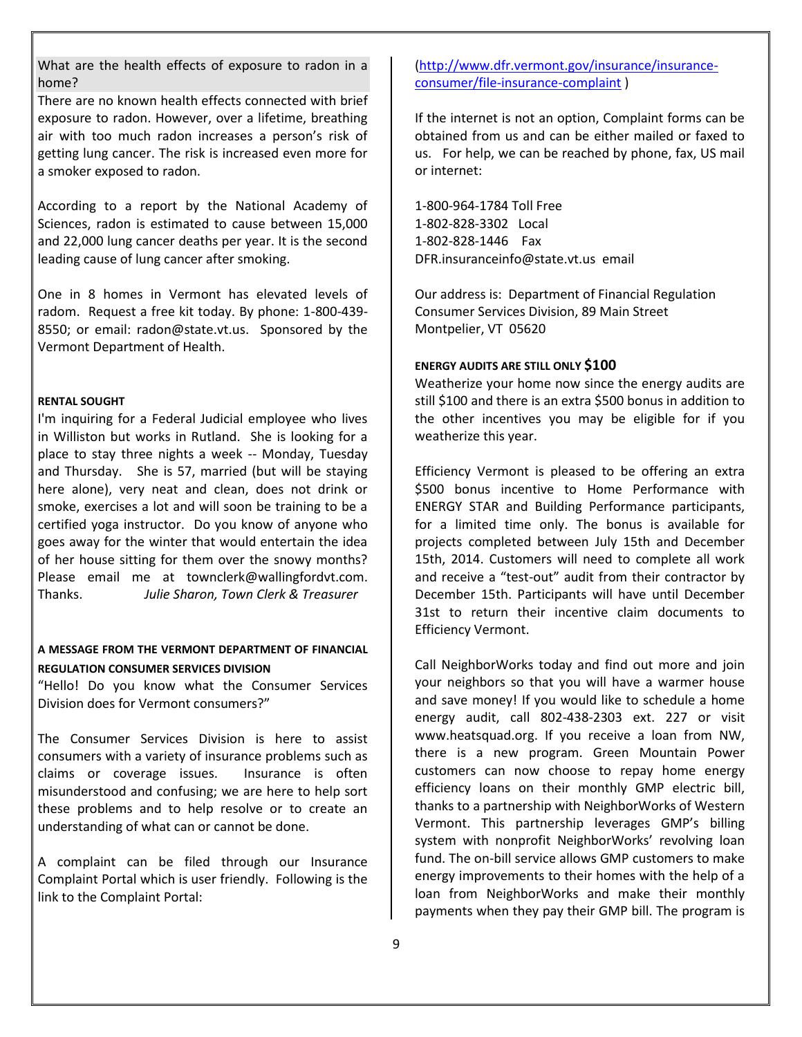What are the health effects of exposure to radon in a home?

There are no known health effects connected with brief exposure to radon. However, over a lifetime, breathing air with too much radon increases a person's risk of getting lung cancer. The risk is increased even more for a smoker exposed to radon.

According to a report by the National Academy of Sciences, radon is estimated to cause between 15,000 and 22,000 lung cancer deaths per year. It is the second leading cause of lung cancer after smoking.

One in 8 homes in Vermont has elevated levels of radom. Request a free kit today. By phone: 1-800-439- 8550; or email: [radon@state.vt.us.](mailto:radon@state.vt.us) Sponsored by the Vermont Department of Health.

#### **RENTAL SOUGHT**

I'm inquiring for a Federal Judicial employee who lives in Williston but works in Rutland. She is looking for a place to stay three nights a week -- Monday, Tuesday and Thursday. She is 57, married (but will be staying here alone), very neat and clean, does not drink or smoke, exercises a lot and will soon be training to be a certified yoga instructor. Do you know of anyone who goes away for the winter that would entertain the idea of her house sitting for them over the snowy months? Please email me at townclerk@wallingfordvt.com. Thanks. *Julie Sharon, Town Clerk & Treasurer*

## **A MESSAGE FROM THE VERMONT DEPARTMENT OF FINANCIAL REGULATION CONSUMER SERVICES DIVISION**

"Hello! Do you know what the Consumer Services Division does for Vermont consumers?"

The Consumer Services Division is here to assist consumers with a variety of insurance problems such as claims or coverage issues. Insurance is often misunderstood and confusing; we are here to help sort these problems and to help resolve or to create an understanding of what can or cannot be done.

A complaint can be filed through our Insurance Complaint Portal which is user friendly. Following is the link to the Complaint Portal:

# [\(http://www.dfr.vermont.gov/insurance/insurance](http://www.dfr.vermont.gov/insurance/insurance-consumer/file-insurance-complaint)[consumer/file-insurance-complaint](http://www.dfr.vermont.gov/insurance/insurance-consumer/file-insurance-complaint) )

If the internet is not an option, Complaint forms can be obtained from us and can be either mailed or faxed to us. For help, we can be reached by phone, fax, US mail or internet:

1-800-964-1784 Toll Free 1-802-828-3302 Local 1-802-828-1446 Fax [DFR.insuranceinfo@state.vt.us](mailto:DFR.insuranceinfo@state.vt.us) email

Our address is: Department of Financial Regulation Consumer Services Division, 89 Main Street Montpelier, VT 05620

### **ENERGY AUDITS ARE STILL ONLY \$100**

Weatherize your home now since the energy audits are still \$100 and there is an extra \$500 bonus in addition to the other incentives you may be eligible for if you weatherize this year.

Efficiency Vermont is pleased to be offering an extra \$500 bonus incentive to Home Performance with ENERGY STAR and Building Performance participants, for a limited time only. The bonus is available for projects completed between July 15th and December 15th, 2014. Customers will need to complete all work and receive a "test-out" audit from their contractor by December 15th. Participants will have until December 31st to return their incentive claim documents to Efficiency Vermont.

Call NeighborWorks today and find out more and join your neighbors so that you will have a warmer house and save money! If you would like to schedule a home energy audit, call 802-438-2303 ext. 227 or visit www.heatsquad.org. If you receive a loan from NW, there is a new program. Green Mountain Power customers can now choose to repay home energy efficiency loans on their monthly GMP electric bill, thanks to a partnership with NeighborWorks of Western Vermont. This partnership leverages GMP's billing system with nonprofit NeighborWorks' revolving loan fund. The on-bill service allows GMP customers to make energy improvements to their homes with the help of a loan from NeighborWorks and make their monthly payments when they pay their GMP bill. The program is